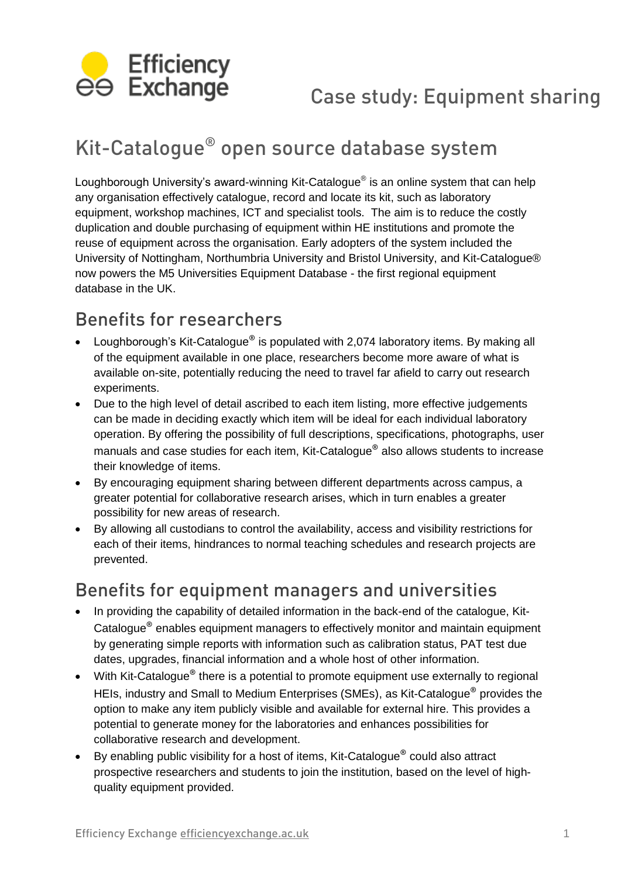

# Kit-Catalogue® open source database system

Loughborough University's award-winning Kit-Catalogue® is an online system that can help any organisation effectively catalogue, record and locate its kit, such as laboratory equipment, workshop machines, ICT and specialist tools. The aim is to reduce the costly duplication and double purchasing of equipment within HE institutions and promote the reuse of equipment across the organisation. Early adopters of the system included the University of Nottingham, Northumbria University and Bristol University, and Kit-Catalogue® now powers the M5 Universities Equipment Database - the first regional equipment database in the UK.

## Benefits for researchers

- Loughborough's Kit-Catalogue<sup>®</sup> is populated with 2,074 laboratory items. By making all of the equipment available in one place, researchers become more aware of what is available on-site, potentially reducing the need to travel far afield to carry out research experiments.
- Due to the high level of detail ascribed to each item listing, more effective judgements can be made in deciding exactly which item will be ideal for each individual laboratory operation. By offering the possibility of full descriptions, specifications, photographs, user manuals and case studies for each item, Kit-Catalogue® also allows students to increase their knowledge of items.
- By encouraging equipment sharing between different departments across campus, a greater potential for collaborative research arises, which in turn enables a greater possibility for new areas of research.
- By allowing all custodians to control the availability, access and visibility restrictions for each of their items, hindrances to normal teaching schedules and research projects are prevented.

## Benefits for equipment managers and universities

- In providing the capability of detailed information in the back-end of the catalogue, Kit-Catalogue® enables equipment managers to effectively monitor and maintain equipment by generating simple reports with information such as calibration status, PAT test due dates, upgrades, financial information and a whole host of other information.
- With Kit-Catalogue<sup>®</sup> there is a potential to promote equipment use externally to regional HEIs, industry and Small to Medium Enterprises (SMEs), as Kit-Catalogue<sup>®</sup> provides the option to make any item publicly visible and available for external hire. This provides a potential to generate money for the laboratories and enhances possibilities for collaborative research and development.
- By enabling public visibility for a host of items, Kit-Catalogue<sup>®</sup> could also attract prospective researchers and students to join the institution, based on the level of highquality equipment provided.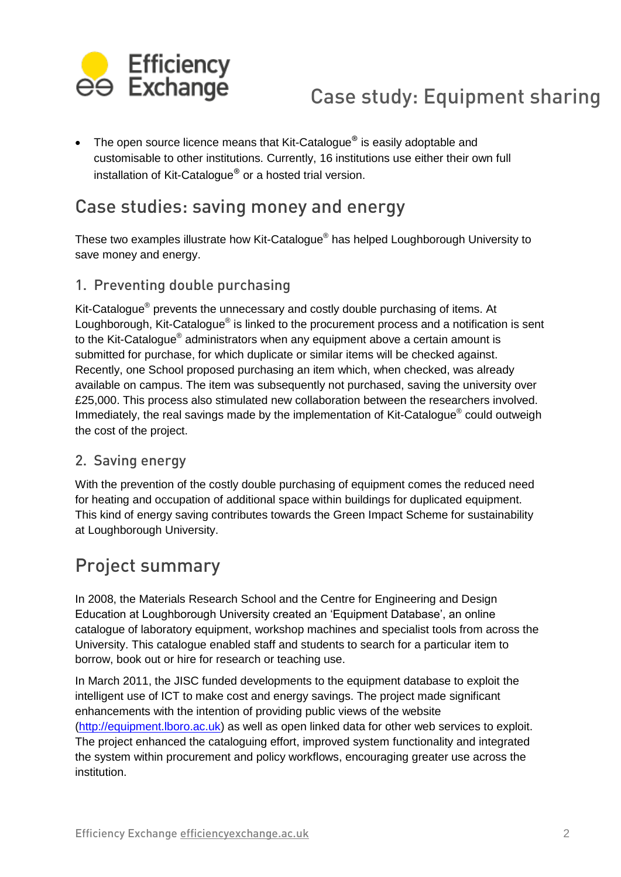

• The open source licence means that Kit-Catalogue<sup>®</sup> is easily adoptable and customisable to other institutions. Currently, 16 institutions use either their own full installation of Kit-Catalogue® or a hosted trial version.

## Case studies: saving money and energy

These two examples illustrate how Kit-Catalogue® has helped Loughborough University to save money and energy.

### 1. Preventing double purchasing

Kit-Catalogue<sup>®</sup> prevents the unnecessary and costly double purchasing of items. At Loughborough, Kit-Catalogue® is linked to the procurement process and a notification is sent to the Kit-Catalogue® administrators when any equipment above a certain amount is submitted for purchase, for which duplicate or similar items will be checked against. Recently, one School proposed purchasing an item which, when checked, was already available on campus. The item was subsequently not purchased, saving the university over £25,000. This process also stimulated new collaboration between the researchers involved. Immediately, the real savings made by the implementation of Kit-Catalogue<sup>®</sup> could outweigh the cost of the project.

### 2. Saving energy

With the prevention of the costly double purchasing of equipment comes the reduced need for heating and occupation of additional space within buildings for duplicated equipment. This kind of energy saving contributes towards the Green Impact Scheme for sustainability at Loughborough University.

## Project summary

In 2008, the Materials Research School and the Centre for Engineering and Design Education at Loughborough University created an 'Equipment Database', an online catalogue of laboratory equipment, workshop machines and specialist tools from across the University. This catalogue enabled staff and students to search for a particular item to borrow, book out or hire for research or teaching use.

In March 2011, the JISC funded developments to the equipment database to exploit the intelligent use of ICT to make cost and energy savings. The project made significant enhancements with the intention of providing public views of the website [\(http://equipment.lboro.ac.uk\)](http://equipment.lboro.ac.uk/) as well as open linked data for other web services to exploit. The project enhanced the cataloguing effort, improved system functionality and integrated the system within procurement and policy workflows, encouraging greater use across the institution.